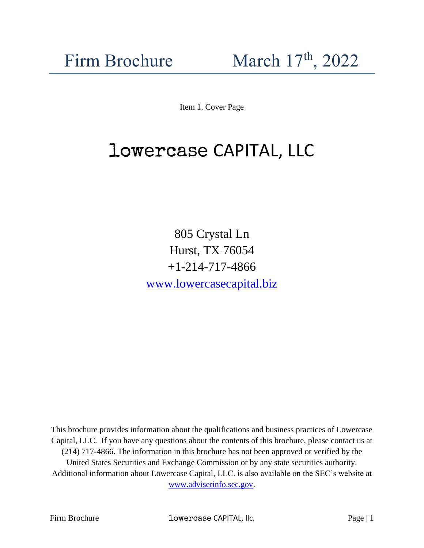Item 1. Cover Page

# lowercase CAPITAL, LLC

805 Crystal Ln Hurst, TX 76054 +1-214-717-4866 [www.lowercasecapital.biz](http://www.lowercasecapital.biz/)

This brochure provides information about the qualifications and business practices of Lowercase Capital, LLC. If you have any questions about the contents of this brochure, please contact us at (214) 717-4866. The information in this brochure has not been approved or verified by the United States Securities and Exchange Commission or by any state securities authority. Additional information about Lowercase Capital, LLC. is also available on the SEC's website at [www.adviserinfo.sec.gov.](http://www.adviserinfo.sec.gov/)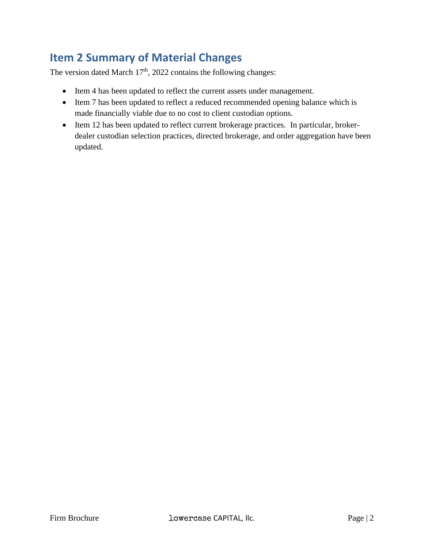# <span id="page-1-0"></span>**Item 2 Summary of Material Changes**

The version dated March 17<sup>th</sup>, 2022 contains the following changes:

- Item 4 has been updated to reflect the current assets under management.
- Item 7 has been updated to reflect a reduced recommended opening balance which is made financially viable due to no cost to client custodian options.
- Item 12 has been updated to reflect current brokerage practices. In particular, brokerdealer custodian selection practices, directed brokerage, and order aggregation have been updated.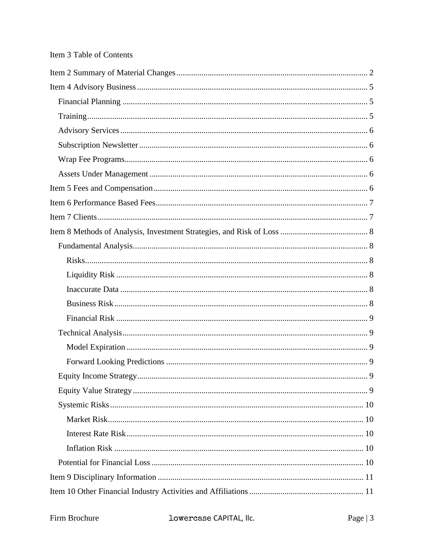| Equity Income Strategy. | 9 |
|-------------------------|---|
|                         |   |
|                         |   |
|                         |   |
|                         |   |
|                         |   |
|                         |   |
|                         |   |
|                         |   |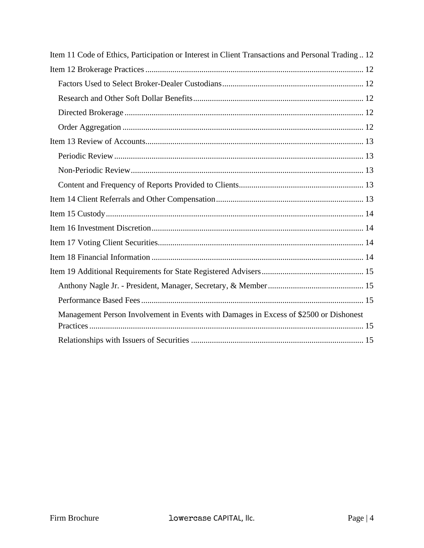| Item 11 Code of Ethics, Participation or Interest in Client Transactions and Personal Trading12 |
|-------------------------------------------------------------------------------------------------|
|                                                                                                 |
|                                                                                                 |
|                                                                                                 |
|                                                                                                 |
|                                                                                                 |
|                                                                                                 |
|                                                                                                 |
|                                                                                                 |
|                                                                                                 |
|                                                                                                 |
|                                                                                                 |
|                                                                                                 |
|                                                                                                 |
|                                                                                                 |
|                                                                                                 |
|                                                                                                 |
|                                                                                                 |
| Management Person Involvement in Events with Damages in Excess of \$2500 or Dishonest           |
|                                                                                                 |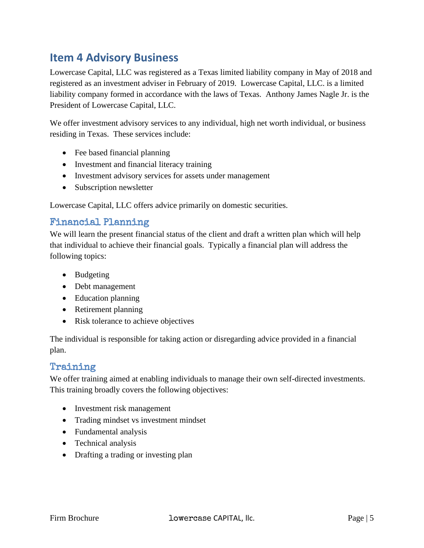# <span id="page-4-0"></span>**Item 4 Advisory Business**

Lowercase Capital, LLC was registered as a Texas limited liability company in May of 2018 and registered as an investment adviser in February of 2019. Lowercase Capital, LLC. is a limited liability company formed in accordance with the laws of Texas. Anthony James Nagle Jr. is the President of Lowercase Capital, LLC.

We offer investment advisory services to any individual, high net worth individual, or business residing in Texas. These services include:

- Fee based financial planning
- Investment and financial literacy training
- Investment advisory services for assets under management
- Subscription newsletter

Lowercase Capital, LLC offers advice primarily on domestic securities.

# <span id="page-4-1"></span>Financial Planning

We will learn the present financial status of the client and draft a written plan which will help that individual to achieve their financial goals. Typically a financial plan will address the following topics:

- Budgeting
- Debt management
- Education planning
- Retirement planning
- Risk tolerance to achieve objectives

The individual is responsible for taking action or disregarding advice provided in a financial plan.

### <span id="page-4-2"></span>Training

We offer training aimed at enabling individuals to manage their own self-directed investments. This training broadly covers the following objectives:

- Investment risk management
- Trading mindset vs investment mindset
- Fundamental analysis
- Technical analysis
- Drafting a trading or investing plan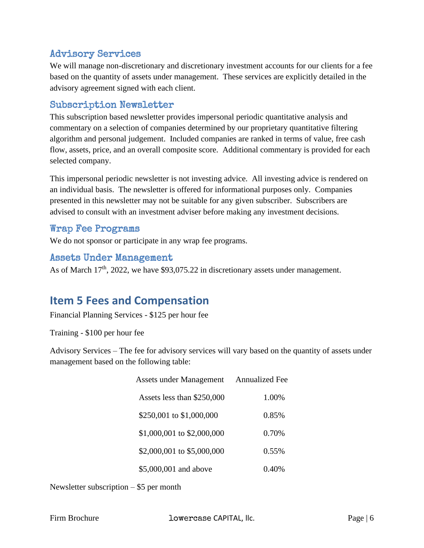# <span id="page-5-0"></span>Advisory Services

We will manage non-discretionary and discretionary investment accounts for our clients for a fee based on the quantity of assets under management. These services are explicitly detailed in the advisory agreement signed with each client.

### <span id="page-5-1"></span>Subscription Newsletter

This subscription based newsletter provides impersonal periodic quantitative analysis and commentary on a selection of companies determined by our proprietary quantitative filtering algorithm and personal judgement. Included companies are ranked in terms of value, free cash flow, assets, price, and an overall composite score. Additional commentary is provided for each selected company.

This impersonal periodic newsletter is not investing advice. All investing advice is rendered on an individual basis. The newsletter is offered for informational purposes only. Companies presented in this newsletter may not be suitable for any given subscriber. Subscribers are advised to consult with an investment adviser before making any investment decisions.

### <span id="page-5-2"></span>Wrap Fee Programs

We do not sponsor or participate in any wrap fee programs.

### <span id="page-5-3"></span>Assets Under Management

As of March 17<sup>th</sup>, 2022, we have \$93,075.22 in discretionary assets under management.

# <span id="page-5-4"></span>**Item 5 Fees and Compensation**

Financial Planning Services - \$125 per hour fee

Training - \$100 per hour fee

Advisory Services – The fee for advisory services will vary based on the quantity of assets under management based on the following table:

| <b>Assets under Management</b> | <b>Annualized Fee</b> |
|--------------------------------|-----------------------|
| Assets less than \$250,000     | 1.00%                 |
| \$250,001 to \$1,000,000       | 0.85%                 |
| \$1,000,001 to \$2,000,000     | 0.70%                 |
| \$2,000,001 to \$5,000,000     | 0.55%                 |
| \$5,000,001 and above          | 0.40%                 |

Newsletter subscription – \$5 per month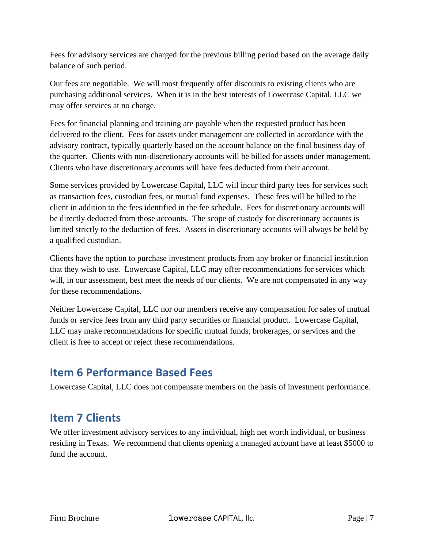Fees for advisory services are charged for the previous billing period based on the average daily balance of such period.

Our fees are negotiable. We will most frequently offer discounts to existing clients who are purchasing additional services. When it is in the best interests of Lowercase Capital, LLC we may offer services at no charge.

Fees for financial planning and training are payable when the requested product has been delivered to the client. Fees for assets under management are collected in accordance with the advisory contract, typically quarterly based on the account balance on the final business day of the quarter. Clients with non-discretionary accounts will be billed for assets under management. Clients who have discretionary accounts will have fees deducted from their account.

Some services provided by Lowercase Capital, LLC will incur third party fees for services such as transaction fees, custodian fees, or mutual fund expenses. These fees will be billed to the client in addition to the fees identified in the fee schedule. Fees for discretionary accounts will be directly deducted from those accounts. The scope of custody for discretionary accounts is limited strictly to the deduction of fees. Assets in discretionary accounts will always be held by a qualified custodian.

Clients have the option to purchase investment products from any broker or financial institution that they wish to use. Lowercase Capital, LLC may offer recommendations for services which will, in our assessment, best meet the needs of our clients. We are not compensated in any way for these recommendations.

Neither Lowercase Capital, LLC nor our members receive any compensation for sales of mutual funds or service fees from any third party securities or financial product. Lowercase Capital, LLC may make recommendations for specific mutual funds, brokerages, or services and the client is free to accept or reject these recommendations.

# <span id="page-6-0"></span>**Item 6 Performance Based Fees**

Lowercase Capital, LLC does not compensate members on the basis of investment performance.

# <span id="page-6-1"></span>**Item 7 Clients**

We offer investment advisory services to any individual, high net worth individual, or business residing in Texas. We recommend that clients opening a managed account have at least \$5000 to fund the account.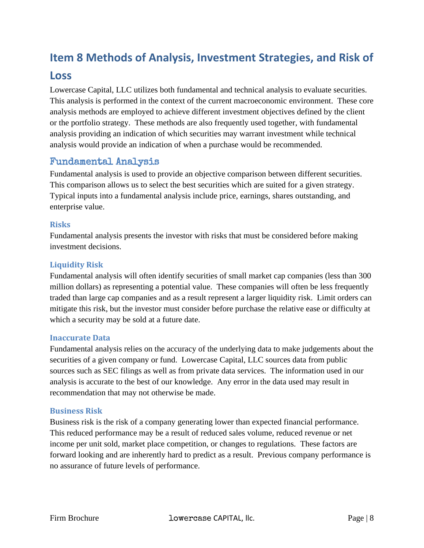# <span id="page-7-0"></span>**Item 8 Methods of Analysis, Investment Strategies, and Risk of**

# **Loss**

Lowercase Capital, LLC utilizes both fundamental and technical analysis to evaluate securities. This analysis is performed in the context of the current macroeconomic environment. These core analysis methods are employed to achieve different investment objectives defined by the client or the portfolio strategy. These methods are also frequently used together, with fundamental analysis providing an indication of which securities may warrant investment while technical analysis would provide an indication of when a purchase would be recommended.

# <span id="page-7-1"></span>Fundamental Analysis

Fundamental analysis is used to provide an objective comparison between different securities. This comparison allows us to select the best securities which are suited for a given strategy. Typical inputs into a fundamental analysis include price, earnings, shares outstanding, and enterprise value.

#### <span id="page-7-2"></span>**Risks**

Fundamental analysis presents the investor with risks that must be considered before making investment decisions.

#### <span id="page-7-3"></span>**Liquidity Risk**

Fundamental analysis will often identify securities of small market cap companies (less than 300 million dollars) as representing a potential value. These companies will often be less frequently traded than large cap companies and as a result represent a larger liquidity risk. Limit orders can mitigate this risk, but the investor must consider before purchase the relative ease or difficulty at which a security may be sold at a future date.

#### <span id="page-7-4"></span>**Inaccurate Data**

Fundamental analysis relies on the accuracy of the underlying data to make judgements about the securities of a given company or fund. Lowercase Capital, LLC sources data from public sources such as SEC filings as well as from private data services. The information used in our analysis is accurate to the best of our knowledge. Any error in the data used may result in recommendation that may not otherwise be made.

#### <span id="page-7-5"></span>**Business Risk**

Business risk is the risk of a company generating lower than expected financial performance. This reduced performance may be a result of reduced sales volume, reduced revenue or net income per unit sold, market place competition, or changes to regulations. These factors are forward looking and are inherently hard to predict as a result. Previous company performance is no assurance of future levels of performance.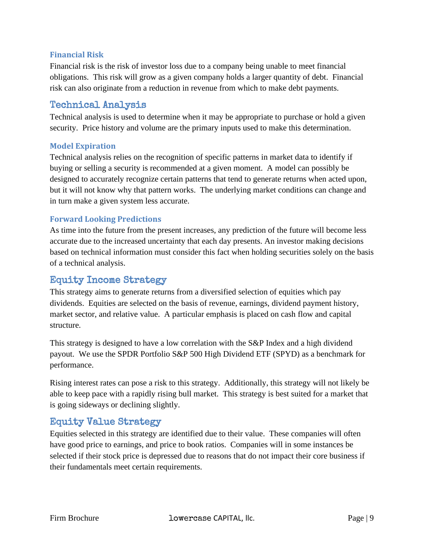#### <span id="page-8-0"></span>**Financial Risk**

Financial risk is the risk of investor loss due to a company being unable to meet financial obligations. This risk will grow as a given company holds a larger quantity of debt. Financial risk can also originate from a reduction in revenue from which to make debt payments.

### <span id="page-8-1"></span>Technical Analysis

Technical analysis is used to determine when it may be appropriate to purchase or hold a given security. Price history and volume are the primary inputs used to make this determination.

#### <span id="page-8-2"></span>**Model Expiration**

Technical analysis relies on the recognition of specific patterns in market data to identify if buying or selling a security is recommended at a given moment. A model can possibly be designed to accurately recognize certain patterns that tend to generate returns when acted upon, but it will not know why that pattern works. The underlying market conditions can change and in turn make a given system less accurate.

#### <span id="page-8-3"></span>**Forward Looking Predictions**

As time into the future from the present increases, any prediction of the future will become less accurate due to the increased uncertainty that each day presents. An investor making decisions based on technical information must consider this fact when holding securities solely on the basis of a technical analysis.

# <span id="page-8-4"></span>Equity Income Strategy

This strategy aims to generate returns from a diversified selection of equities which pay dividends. Equities are selected on the basis of revenue, earnings, dividend payment history, market sector, and relative value. A particular emphasis is placed on cash flow and capital structure.

This strategy is designed to have a low correlation with the S&P Index and a high dividend payout. We use the SPDR Portfolio S&P 500 High Dividend ETF (SPYD) as a benchmark for performance.

Rising interest rates can pose a risk to this strategy. Additionally, this strategy will not likely be able to keep pace with a rapidly rising bull market. This strategy is best suited for a market that is going sideways or declining slightly.

### <span id="page-8-5"></span>Equity Value Strategy

Equities selected in this strategy are identified due to their value. These companies will often have good price to earnings, and price to book ratios. Companies will in some instances be selected if their stock price is depressed due to reasons that do not impact their core business if their fundamentals meet certain requirements.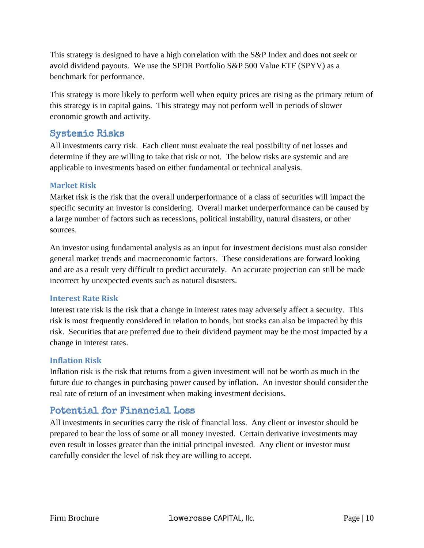This strategy is designed to have a high correlation with the S&P Index and does not seek or avoid dividend payouts. We use the SPDR Portfolio S&P 500 Value ETF (SPYV) as a benchmark for performance.

This strategy is more likely to perform well when equity prices are rising as the primary return of this strategy is in capital gains. This strategy may not perform well in periods of slower economic growth and activity.

### <span id="page-9-0"></span>Systemic Risks

All investments carry risk. Each client must evaluate the real possibility of net losses and determine if they are willing to take that risk or not. The below risks are systemic and are applicable to investments based on either fundamental or technical analysis.

#### <span id="page-9-1"></span>**Market Risk**

Market risk is the risk that the overall underperformance of a class of securities will impact the specific security an investor is considering. Overall market underperformance can be caused by a large number of factors such as recessions, political instability, natural disasters, or other sources.

An investor using fundamental analysis as an input for investment decisions must also consider general market trends and macroeconomic factors. These considerations are forward looking and are as a result very difficult to predict accurately. An accurate projection can still be made incorrect by unexpected events such as natural disasters.

#### <span id="page-9-2"></span>**Interest Rate Risk**

Interest rate risk is the risk that a change in interest rates may adversely affect a security. This risk is most frequently considered in relation to bonds, but stocks can also be impacted by this risk. Securities that are preferred due to their dividend payment may be the most impacted by a change in interest rates.

#### <span id="page-9-3"></span>**Inflation Risk**

Inflation risk is the risk that returns from a given investment will not be worth as much in the future due to changes in purchasing power caused by inflation. An investor should consider the real rate of return of an investment when making investment decisions.

# <span id="page-9-4"></span>Potential for Financial Loss

All investments in securities carry the risk of financial loss. Any client or investor should be prepared to bear the loss of some or all money invested. Certain derivative investments may even result in losses greater than the initial principal invested. Any client or investor must carefully consider the level of risk they are willing to accept.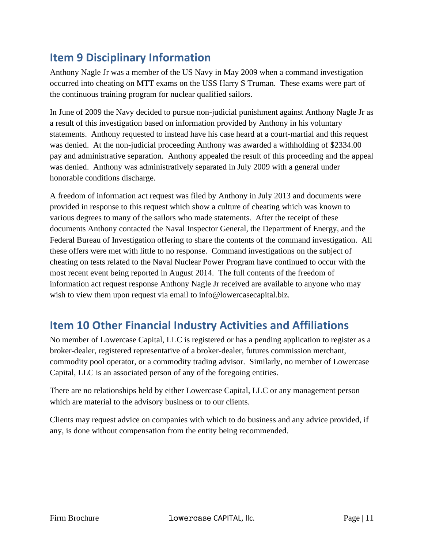# <span id="page-10-0"></span>**Item 9 Disciplinary Information**

Anthony Nagle Jr was a member of the US Navy in May 2009 when a command investigation occurred into cheating on MTT exams on the USS Harry S Truman. These exams were part of the continuous training program for nuclear qualified sailors.

In June of 2009 the Navy decided to pursue non-judicial punishment against Anthony Nagle Jr as a result of this investigation based on information provided by Anthony in his voluntary statements. Anthony requested to instead have his case heard at a court-martial and this request was denied. At the non-judicial proceeding Anthony was awarded a withholding of \$2334.00 pay and administrative separation. Anthony appealed the result of this proceeding and the appeal was denied. Anthony was administratively separated in July 2009 with a general under honorable conditions discharge.

A freedom of information act request was filed by Anthony in July 2013 and documents were provided in response to this request which show a culture of cheating which was known to various degrees to many of the sailors who made statements. After the receipt of these documents Anthony contacted the Naval Inspector General, the Department of Energy, and the Federal Bureau of Investigation offering to share the contents of the command investigation. All these offers were met with little to no response. Command investigations on the subject of cheating on tests related to the Naval Nuclear Power Program have continued to occur with the most recent event being reported in August 2014. The full contents of the freedom of information act request response Anthony Nagle Jr received are available to anyone who may wish to view them upon request via email to info@lowercasecapital.biz.

# <span id="page-10-1"></span>**Item 10 Other Financial Industry Activities and Affiliations**

No member of Lowercase Capital, LLC is registered or has a pending application to register as a broker-dealer, registered representative of a broker-dealer, futures commission merchant, commodity pool operator, or a commodity trading advisor. Similarly, no member of Lowercase Capital, LLC is an associated person of any of the foregoing entities.

There are no relationships held by either Lowercase Capital, LLC or any management person which are material to the advisory business or to our clients.

Clients may request advice on companies with which to do business and any advice provided, if any, is done without compensation from the entity being recommended.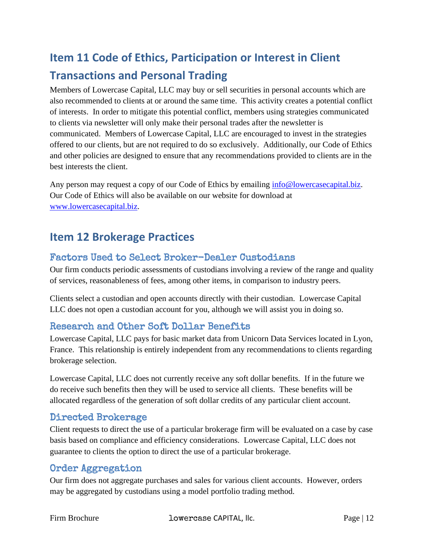# <span id="page-11-0"></span>**Item 11 Code of Ethics, Participation or Interest in Client Transactions and Personal Trading**

Members of Lowercase Capital, LLC may buy or sell securities in personal accounts which are also recommended to clients at or around the same time. This activity creates a potential conflict of interests. In order to mitigate this potential conflict, members using strategies communicated to clients via newsletter will only make their personal trades after the newsletter is communicated. Members of Lowercase Capital, LLC are encouraged to invest in the strategies offered to our clients, but are not required to do so exclusively. Additionally, our Code of Ethics and other policies are designed to ensure that any recommendations provided to clients are in the best interests the client.

Any person may request a copy of our Code of Ethics by emailing [info@lowercasecapital.biz.](mailto:info@lowercasecapital.biz) Our Code of Ethics will also be available on our website for download at [www.lowercasecapital.biz.](http://www.lowercasecapital.biz/)

# <span id="page-11-1"></span>**Item 12 Brokerage Practices**

# <span id="page-11-2"></span>Factors Used to Select Broker-Dealer Custodians

Our firm conducts periodic assessments of custodians involving a review of the range and quality of services, reasonableness of fees, among other items, in comparison to industry peers.

Clients select a custodian and open accounts directly with their custodian. Lowercase Capital LLC does not open a custodian account for you, although we will assist you in doing so.

# <span id="page-11-3"></span>Research and Other Soft Dollar Benefits

Lowercase Capital, LLC pays for basic market data from Unicorn Data Services located in Lyon, France. This relationship is entirely independent from any recommendations to clients regarding brokerage selection.

Lowercase Capital, LLC does not currently receive any soft dollar benefits. If in the future we do receive such benefits then they will be used to service all clients. These benefits will be allocated regardless of the generation of soft dollar credits of any particular client account.

### <span id="page-11-4"></span>Directed Brokerage

Client requests to direct the use of a particular brokerage firm will be evaluated on a case by case basis based on compliance and efficiency considerations. Lowercase Capital, LLC does not guarantee to clients the option to direct the use of a particular brokerage.

### <span id="page-11-5"></span>Order Aggregation

Our firm does not aggregate purchases and sales for various client accounts. However, orders may be aggregated by custodians using a model portfolio trading method.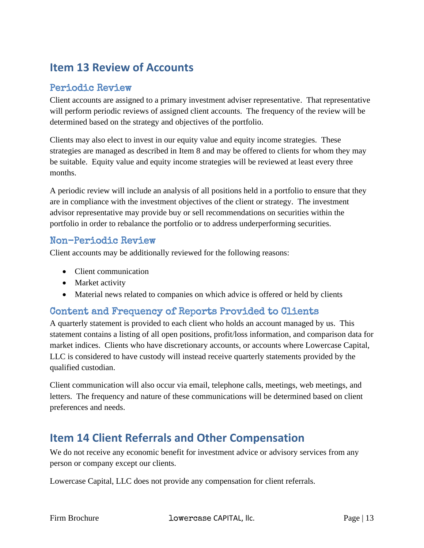# <span id="page-12-0"></span>**Item 13 Review of Accounts**

# <span id="page-12-1"></span>Periodic Review

Client accounts are assigned to a primary investment adviser representative. That representative will perform periodic reviews of assigned client accounts. The frequency of the review will be determined based on the strategy and objectives of the portfolio.

Clients may also elect to invest in our equity value and equity income strategies. These strategies are managed as described in Item 8 and may be offered to clients for whom they may be suitable. Equity value and equity income strategies will be reviewed at least every three months.

A periodic review will include an analysis of all positions held in a portfolio to ensure that they are in compliance with the investment objectives of the client or strategy. The investment advisor representative may provide buy or sell recommendations on securities within the portfolio in order to rebalance the portfolio or to address underperforming securities.

### <span id="page-12-2"></span>Non-Periodic Review

Client accounts may be additionally reviewed for the following reasons:

- Client communication
- Market activity
- Material news related to companies on which advice is offered or held by clients

# <span id="page-12-3"></span>Content and Frequency of Reports Provided to Clients

A quarterly statement is provided to each client who holds an account managed by us. This statement contains a listing of all open positions, profit/loss information, and comparison data for market indices. Clients who have discretionary accounts, or accounts where Lowercase Capital, LLC is considered to have custody will instead receive quarterly statements provided by the qualified custodian.

Client communication will also occur via email, telephone calls, meetings, web meetings, and letters. The frequency and nature of these communications will be determined based on client preferences and needs.

# <span id="page-12-4"></span>**Item 14 Client Referrals and Other Compensation**

We do not receive any economic benefit for investment advice or advisory services from any person or company except our clients.

Lowercase Capital, LLC does not provide any compensation for client referrals.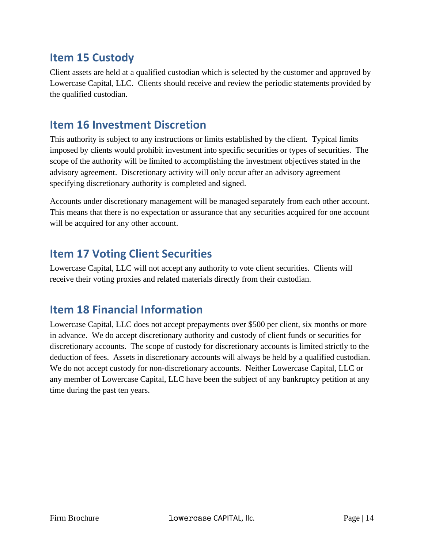# <span id="page-13-0"></span>**Item 15 Custody**

Client assets are held at a qualified custodian which is selected by the customer and approved by Lowercase Capital, LLC. Clients should receive and review the periodic statements provided by the qualified custodian.

# <span id="page-13-1"></span>**Item 16 Investment Discretion**

This authority is subject to any instructions or limits established by the client. Typical limits imposed by clients would prohibit investment into specific securities or types of securities. The scope of the authority will be limited to accomplishing the investment objectives stated in the advisory agreement. Discretionary activity will only occur after an advisory agreement specifying discretionary authority is completed and signed.

Accounts under discretionary management will be managed separately from each other account. This means that there is no expectation or assurance that any securities acquired for one account will be acquired for any other account.

# <span id="page-13-2"></span>**Item 17 Voting Client Securities**

Lowercase Capital, LLC will not accept any authority to vote client securities. Clients will receive their voting proxies and related materials directly from their custodian.

# <span id="page-13-3"></span>**Item 18 Financial Information**

Lowercase Capital, LLC does not accept prepayments over \$500 per client, six months or more in advance. We do accept discretionary authority and custody of client funds or securities for discretionary accounts. The scope of custody for discretionary accounts is limited strictly to the deduction of fees. Assets in discretionary accounts will always be held by a qualified custodian. We do not accept custody for non-discretionary accounts. Neither Lowercase Capital, LLC or any member of Lowercase Capital, LLC have been the subject of any bankruptcy petition at any time during the past ten years.